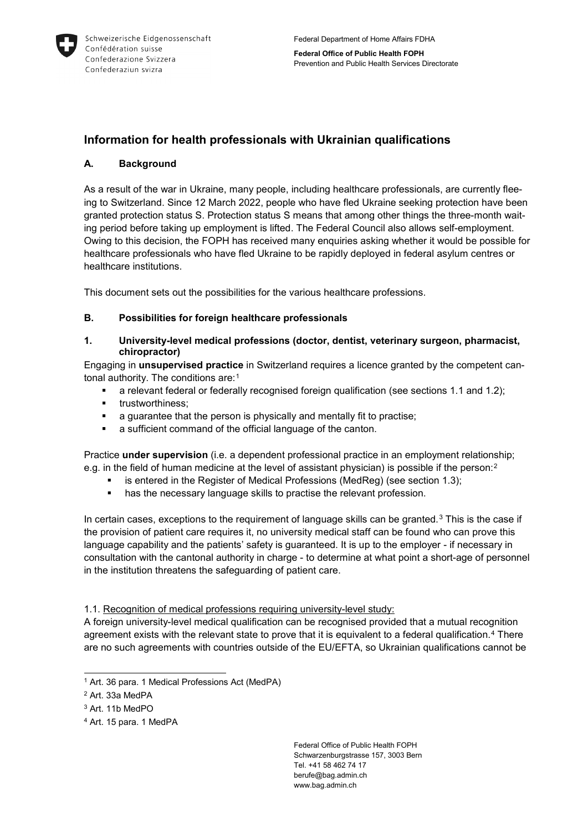

**Federal Office of Public Health FOPH** Prevention and Public Health Services Directorate

# **Information for health professionals with Ukrainian qualifications**

## **A. Background**

As a result of the war in Ukraine, many people, including healthcare professionals, are currently fleeing to Switzerland. Since 12 March 2022, people who have fled Ukraine seeking protection have been granted protection status S. Protection status S means that among other things the three-month waiting period before taking up employment is lifted. The Federal Council also allows self-employment. Owing to this decision, the FOPH has received many enquiries asking whether it would be possible for healthcare professionals who have fled Ukraine to be rapidly deployed in federal asylum centres or healthcare institutions.

This document sets out the possibilities for the various healthcare professions.

## **B. Possibilities for foreign healthcare professionals**

**1. University-level medical professions (doctor, dentist, veterinary surgeon, pharmacist, chiropractor)**

Engaging in **unsupervised practice** in Switzerland requires a licence granted by the competent can-tonal authority. The conditions are:<sup>[1](#page-0-0)</sup>

- a relevant federal or federally recognised foreign qualification (see sections 1.1 and 1.2);
- **•** trustworthiness:
- a guarantee that the person is physically and mentally fit to practise;
- a sufficient command of the official language of the canton.

Practice **under supervision** (i.e. a dependent professional practice in an employment relationship; e.g. in the field of human medicine at the level of assistant physician) is possible if the person:<sup>[2](#page-0-1)</sup>

- is entered in the Register of Medical Professions (MedReg) (see section 1.3);
- **has the necessary language skills to practise the relevant profession.**

In certain cases, exceptions to the requirement of language skills can be granted.<sup>[3](#page-0-2)</sup> This is the case if the provision of patient care requires it, no university medical staff can be found who can prove this language capability and the patients' safety is guaranteed. It is up to the employer - if necessary in consultation with the cantonal authority in charge - to determine at what point a short-age of personnel in the institution threatens the safeguarding of patient care.

1.1. Recognition of medical professions requiring university-level study:

A foreign university-level medical qualification can be recognised provided that a mutual recognition agreement exists with the relevant state to prove that it is equivalent to a federal qualification.[4](#page-0-3) There are no such agreements with countries outside of the EU/EFTA, so Ukrainian qualifications cannot be

<span id="page-0-0"></span><sup>&</sup>lt;sup>1</sup> Art. 36 para. 1 Medical Professions Act (MedPA)

<span id="page-0-1"></span><sup>2</sup> Art. 33a MedPA

<span id="page-0-2"></span><sup>3</sup> Art. 11b MedPO

<span id="page-0-3"></span><sup>4</sup> Art. 15 para. 1 MedPA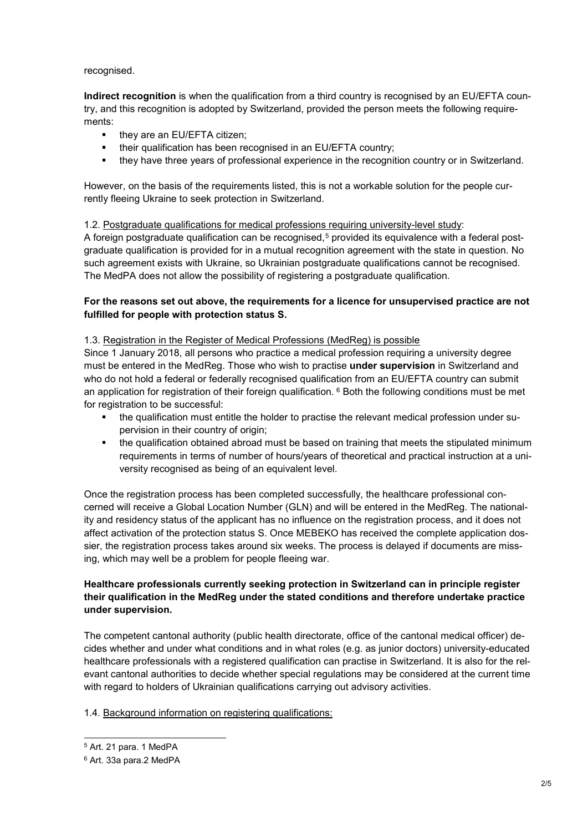recognised.

**Indirect recognition** is when the qualification from a third country is recognised by an EU/EFTA country, and this recognition is adopted by Switzerland, provided the person meets the following requirements:

- they are an EU/EFTA citizen;
- **their qualification has been recognised in an EU/EFTA country;**
- they have three years of professional experience in the recognition country or in Switzerland.

However, on the basis of the requirements listed, this is not a workable solution for the people currently fleeing Ukraine to seek protection in Switzerland.

#### 1.2. Postgraduate qualifications for medical professions requiring university-level study:

A foreign postgraduate qualification can be recognised,<sup>[5](#page-1-0)</sup> provided its equivalence with a federal postgraduate qualification is provided for in a mutual recognition agreement with the state in question. No such agreement exists with Ukraine, so Ukrainian postgraduate qualifications cannot be recognised. The MedPA does not allow the possibility of registering a postgraduate qualification.

## **For the reasons set out above, the requirements for a licence for unsupervised practice are not fulfilled for people with protection status S.**

#### 1.3. Registration in the Register of Medical Professions (MedReg) is possible

Since 1 January 2018, all persons who practice a medical profession requiring a university degree must be entered in the MedReg. Those who wish to practise **under supervision** in Switzerland and who do not hold a federal or federally recognised qualification from an EU/EFTA country can submit an application for registration of their foreign qualification.  $6$  Both the following conditions must be met for registration to be successful:

- the qualification must entitle the holder to practise the relevant medical profession under supervision in their country of origin;
- the qualification obtained abroad must be based on training that meets the stipulated minimum requirements in terms of number of hours/years of theoretical and practical instruction at a university recognised as being of an equivalent level.

Once the registration process has been completed successfully, the healthcare professional concerned will receive a Global Location Number (GLN) and will be entered in the MedReg. The nationality and residency status of the applicant has no influence on the registration process, and it does not affect activation of the protection status S. Once MEBEKO has received the complete application dossier, the registration process takes around six weeks. The process is delayed if documents are missing, which may well be a problem for people fleeing war.

## **Healthcare professionals currently seeking protection in Switzerland can in principle register their qualification in the MedReg under the stated conditions and therefore undertake practice under supervision.**

The competent cantonal authority (public health directorate, office of the cantonal medical officer) decides whether and under what conditions and in what roles (e.g. as junior doctors) university-educated healthcare professionals with a registered qualification can practise in Switzerland. It is also for the relevant cantonal authorities to decide whether special regulations may be considered at the current time with regard to holders of Ukrainian qualifications carrying out advisory activities.

#### 1.4. Background information on registering qualifications:

<span id="page-1-0"></span> <sup>5</sup> Art. 21 para. 1 MedPA

<span id="page-1-1"></span><sup>6</sup> Art. 33a para.2 MedPA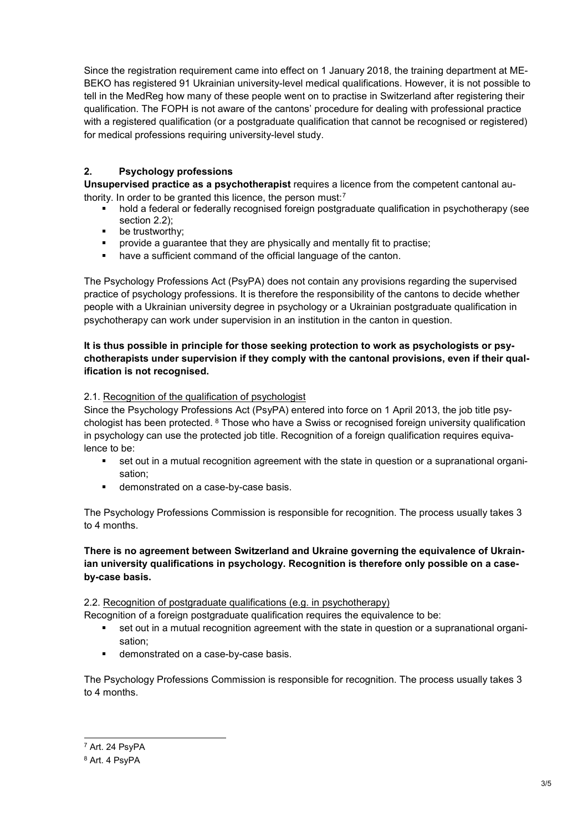Since the registration requirement came into effect on 1 January 2018, the training department at ME-BEKO has registered 91 Ukrainian university-level medical qualifications. However, it is not possible to tell in the MedReg how many of these people went on to practise in Switzerland after registering their qualification. The FOPH is not aware of the cantons' procedure for dealing with professional practice with a registered qualification (or a postgraduate qualification that cannot be recognised or registered) for medical professions requiring university-level study.

## **2. Psychology professions**

**Unsupervised practice as a psychotherapist** requires a licence from the competent cantonal authority. In order to be granted this licence, the person must:[7](#page-2-0)

- hold a federal or federally recognised foreign postgraduate qualification in psychotherapy (see section 2.2);
- be trustworthy;
- provide a guarantee that they are physically and mentally fit to practise;
- have a sufficient command of the official language of the canton.

The Psychology Professions Act (PsyPA) does not contain any provisions regarding the supervised practice of psychology professions. It is therefore the responsibility of the cantons to decide whether people with a Ukrainian university degree in psychology or a Ukrainian postgraduate qualification in psychotherapy can work under supervision in an institution in the canton in question.

## **It is thus possible in principle for those seeking protection to work as psychologists or psychotherapists under supervision if they comply with the cantonal provisions, even if their qualification is not recognised.**

## 2.1. Recognition of the qualification of psychologist

Since the Psychology Professions Act (PsyPA) entered into force on 1 April 2013, the job title psychologist has been protected. [8](#page-2-1) Those who have a Swiss or recognised foreign university qualification in psychology can use the protected job title. Recognition of a foreign qualification requires equivalence to be:

- set out in a mutual recognition agreement with the state in question or a supranational organisation;
- demonstrated on a case-by-case basis.

The Psychology Professions Commission is responsible for recognition. The process usually takes 3 to 4 months.

**There is no agreement between Switzerland and Ukraine governing the equivalence of Ukrainian university qualifications in psychology. Recognition is therefore only possible on a caseby-case basis.** 

#### 2.2. Recognition of postgraduate qualifications (e.g. in psychotherapy)

Recognition of a foreign postgraduate qualification requires the equivalence to be:

- set out in a mutual recognition agreement with the state in question or a supranational organisation;
- **demonstrated on a case-by-case basis.**

The Psychology Professions Commission is responsible for recognition. The process usually takes 3 to 4 months.

<span id="page-2-0"></span> <sup>7</sup> Art. 24 PsyPA

<span id="page-2-1"></span><sup>8</sup> Art. 4 PsyPA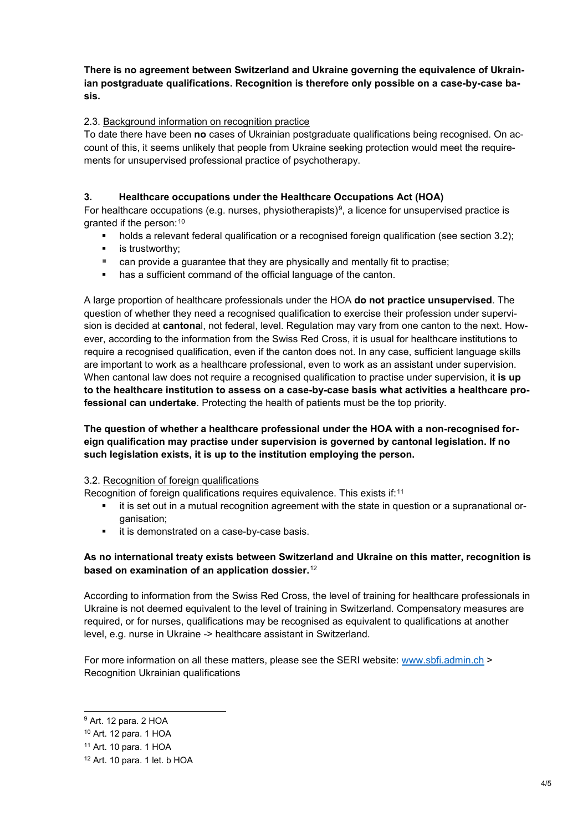## **There is no agreement between Switzerland and Ukraine governing the equivalence of Ukrainian postgraduate qualifications. Recognition is therefore only possible on a case-by-case basis.**

## 2.3. Background information on recognition practice

To date there have been **no** cases of Ukrainian postgraduate qualifications being recognised. On account of this, it seems unlikely that people from Ukraine seeking protection would meet the requirements for unsupervised professional practice of psychotherapy.

## **3. Healthcare occupations under the Healthcare Occupations Act (HOA)**

For healthcare occupations (e.g. nurses, physiotherapists)<sup>9</sup>, a licence for unsupervised practice is granted if the person:[10](#page-3-1)

- holds a relevant federal qualification or a recognised foreign qualification (see section 3.2);
- **is trustworthy:**
- can provide a guarantee that they are physically and mentally fit to practise;
- **has a sufficient command of the official language of the canton.**

A large proportion of healthcare professionals under the HOA **do not practice unsupervised**. The question of whether they need a recognised qualification to exercise their profession under supervision is decided at **cantona**l, not federal, level. Regulation may vary from one canton to the next. However, according to the information from the Swiss Red Cross, it is usual for healthcare institutions to require a recognised qualification, even if the canton does not. In any case, sufficient language skills are important to work as a healthcare professional, even to work as an assistant under supervision. When cantonal law does not require a recognised qualification to practise under supervision, it **is up to the healthcare institution to assess on a case-by-case basis what activities a healthcare professional can undertake**. Protecting the health of patients must be the top priority.

## **The question of whether a healthcare professional under the HOA with a non-recognised foreign qualification may practise under supervision is governed by cantonal legislation. If no such legislation exists, it is up to the institution employing the person.**

#### 3.2. Recognition of foreign qualifications

Recognition of foreign qualifications requires equivalence. This exists if:<sup>[11](#page-3-2)</sup>

- **if is set out in a mutual recognition agreement with the state in question or a supranational or**ganisation;
- **it is demonstrated on a case-by-case basis.**

## **As no international treaty exists between Switzerland and Ukraine on this matter, recognition is based on examination of an application dossier.**[12](#page-3-3)

According to information from the Swiss Red Cross, the level of training for healthcare professionals in Ukraine is not deemed equivalent to the level of training in Switzerland. Compensatory measures are required, or for nurses, qualifications may be recognised as equivalent to qualifications at another level, e.g. nurse in Ukraine -> healthcare assistant in Switzerland.

For more information on all these matters, please see the SERI website: [www.sbfi.admin.ch](https://www.sbfi.admin.ch/sbfi/en/home/education/recognition-of-foreign-qualifications.html) > Recognition Ukrainian qualifications

<span id="page-3-0"></span> <sup>9</sup> Art. 12 para. 2 HOA

<span id="page-3-1"></span><sup>10</sup> Art. 12 para. 1 HOA

<span id="page-3-2"></span><sup>11</sup> Art. 10 para. 1 HOA

<span id="page-3-3"></span><sup>12</sup> Art. 10 para. 1 let. b HOA